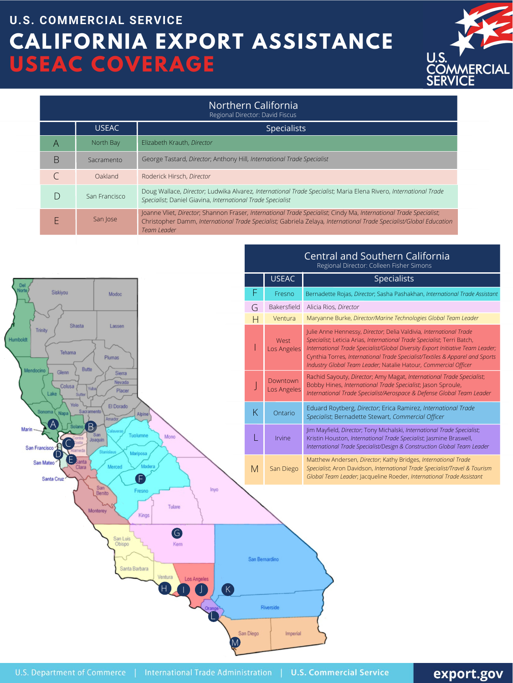| <b>Northern California</b><br>Regional Director: David Fiscus |               |                                                                                                                                                                                                                                                        |  |
|---------------------------------------------------------------|---------------|--------------------------------------------------------------------------------------------------------------------------------------------------------------------------------------------------------------------------------------------------------|--|
|                                                               | <b>USEAC</b>  | <b>Specialists</b>                                                                                                                                                                                                                                     |  |
| Α                                                             | North Bay     | Elizabeth Krauth, Director                                                                                                                                                                                                                             |  |
| B                                                             | Sacramento    | George Tastard, Director; Anthony Hill, International Trade Specialist                                                                                                                                                                                 |  |
|                                                               | Oakland       | Roderick Hirsch, Director                                                                                                                                                                                                                              |  |
| $\Box$                                                        | San Francisco | Doug Wallace, Director; Ludwika Alvarez, International Trade Specialist; Maria Elena Rivero, International Trade<br>Specialist; Daniel Giavina, International Trade Specialist                                                                         |  |
|                                                               | San Jose      | Joanne Vliet, Director; Shannon Fraser, International Trade Specialist; Cindy Ma, International Trade Specialist;<br>Christopher Damm, International Trade Specialist; Gabriela Zelaya, International Trade Specialist/Global Education<br>Team Leader |  |



|        | USEAC <sup>1</sup>         | <b>Specialists</b>                                                                                                                                                                                                                                                                                              |  |
|--------|----------------------------|-----------------------------------------------------------------------------------------------------------------------------------------------------------------------------------------------------------------------------------------------------------------------------------------------------------------|--|
|        | Fresno                     | Bernadette Rojas, Director; Sasha Pashakhan, International Trade Assistant                                                                                                                                                                                                                                      |  |
| $\Box$ | <b>Bakersfield</b>         | Alicia Rios, Director                                                                                                                                                                                                                                                                                           |  |
|        | Ventura                    | Maryanne Burke, Director/Marine Technologies Global Team Leader                                                                                                                                                                                                                                                 |  |
|        | <b>West</b><br>Los Angeles | Julie Anne Hennessy, Director; Delia Valdivia, International Trade<br>Specialist; Leticia Arias, International Trade Specialist; Terri Batch,<br>International Trade Specialist/Global Diversity Export Initiative Team Leader;<br>Cypthia Torroc, International Trade Specialist/Textiles & Apparel and Sports |  |

# **CALIFORNIA EXPORT ASSISTANCE USEAC COVERAGE U.S. COMMERCIAL SERVICE**



Central and Southern California

Regional Director: Colleen Fisher Simons

## export.gov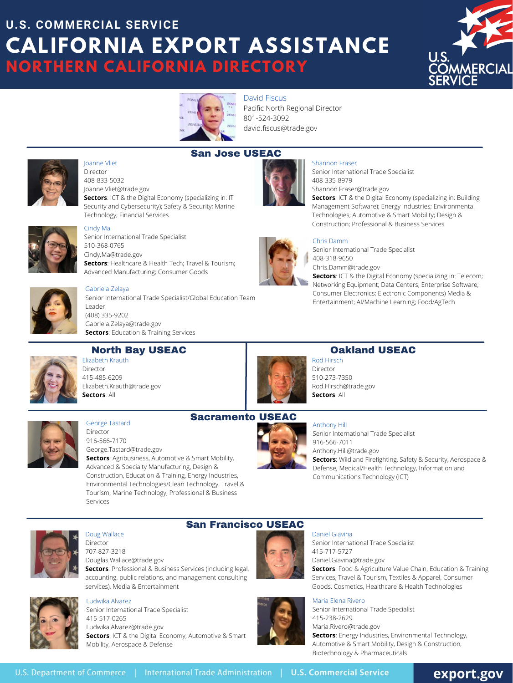David Fiscus Pacific North Regional Director [801-524-3092](tel:801-524-3092) [david.fiscus@trade.gov](mailto:david.fiscus@trade.gov)



### Oakland USEAC



George Tastard **Director** 916-566-7170 [George.Tastard@trade.gov](mailto:George.Tastard@trade.gov) **Sectors**: Agribusiness, Automotive & Smart Mobility, Advanced & Specialty Manufacturing, Design & Construction, Education & Training, Energy Industries, Environmental Technologies/Clean Technology, Travel & Tourism, Marine Technology, Professional & Business **Services** 

Rod Hirsch Director 510-273-7350 [Rod.Hirsch@trade.gov](mailto:Rod.Hirsch@trade.gov) **Sectors**: All

### San Francisco USEAC

Elizabeth Krauth **Director** 415-485-6209 [Elizabeth.Krauth@trade.gov](mailto:Elizabeth.Krauth@trade.gov) **Sectors**: All

**[Sectors](https://www.trade.gov/information-and-communications-technology)**[: ICT & the Digital Economy](https://www.trade.gov/information-and-communications-technology) (specializing in: Telecom; Networking Equipment; Data Centers; Enterprise Software; [Consumer Electronics; Electronic Components\) Media &](https://www.trade.gov/media-entertainment) Entertainment; AI/Machine Learning; [Food/AgTech](https://www.trade.gov/food-and-agriculture-value-chain)

#### Shannon Fraser

Senior International Trade Specialist 408-335-8979 [Shannon.Fraser@trade.gov](mailto:Shannon.Fraser@trade.gov)

**Sectors**: [ICT & the Digital Economy \(specializing in: Building](https://www.trade.gov/information-and-communications-technology) [Management Software\)](https://www.trade.gov/information-and-communications-technology); [Energy Industries;](https://www.trade.gov/energy-industry) [Environmental](https://www.trade.gov/environmental-technologies-industry) [Technologies;](https://www.trade.gov/environmental-technologies-industry) [Automotive & Smart Mobility;](https://www.trade.gov/automotive-smart-mobility-industry) [Design &](https://www.trade.gov/design-and-construction-industry) [Construction](https://www.trade.gov/design-and-construction-industry); [Professional & Business Services](https://www.trade.gov/professional-and-business-services)



**Director** 707-827-3218 [Douglas.Wallace@trade.gov](mailto:Douglas.Wallace@trade.gov) **Sectors**: [Professional & Business Services](https://www.trade.gov/professional-and-business-services) (including legal, accounting, public relations, and management consulting services), [Media & Entertainment](https://www.trade.gov/media-entertainment)



#### Chris Damm

Senior International Trade Specialist 408-318-9650

[Chris.Damm@trade.gov](mailto:Chris.Damm@trade.gov)

## Sacramento USEAC



# **CALIFORNIA EXPORT ASSISTANCE NORTHERN CALIFORNIA DIRECTORY U.S. COMMERCIAL SERVICE**





### North Bay USEAC

#### Gabriela Zelaya Senior International Trade Specialist/Global Education Team Leader (408) 335-9202 [Gabriela.Zelaya@trade.gov](mailto:Gabriela.Zelaya@trade.gov) **[Sectors](https://www.trade.gov/education-industry)**[: Education & Training Services](https://www.trade.gov/education-industry)

Anthony Hill Senior International Trade Specialist 916-566-7011 [Anthony.Hill@trade.gov](mailto:Anthony.Hill@trade.gov) **Sectors**: Wildland Firefighting, Safety & Security, Aerospace & Defense, Medical/Health Technology, Information and Communications Technology (ICT)



Doug Wallace



#### Daniel Giavina

Senior International Trade Specialist 415-717-5727 [Daniel.Giavina@trade.gov](mailto:Daniel.Giavina@trade.gov) **Sectors**: Food & Agriculture Value Chain, Education & Training Services, Travel & Tourism, Textiles & Apparel, Consumer Goods, Cosmetics, Healthcare & Health Technologies



Ludwika Alvarez Senior International Trade Specialist 415-517-0265 [Ludwika.Alvarez@trade.gov](mailto:Ludwika.Alvarez@trade.gov) **Sectors**: [ICT & the Digital Economy,](https://www.trade.gov/information-and-communications-technology) [Automotive & Smart](https://www.trade.gov/automotive-smart-mobility-industry) [Mobility,](https://www.trade.gov/automotive-smart-mobility-industry) [Aerospace & Defense](https://www.trade.gov/aerospace-defense-industry)



#### Maria Elena Rivero

Senior International Trade Specialist 415-238-2629 [Maria.Rivero@trade.gov](mailto:Maria.Rivero@trade.gov) **Sectors**: [Energy Industries,](https://www.trade.gov/energy-industry) [Environmental Technology](https://www.trade.gov/environmental-technologies-industry), [Automotive & Smart Mobility](https://www.trade.gov/automotive-smart-mobility-industry), [Design & Construction](https://www.trade.gov/design-and-construction-industry), [Biotechnology & Pharma](https://www.trade.gov/healthcare-technologies-industry)ceuticals

export.gov



# Joanne Vliet

Director 408-833-5032 [Joanne.Vliet@trade.gov](mailto:Joanne.Vliet@trade.gov) **[Sectors](https://www.trade.gov/information-and-communications-technology)**[: ICT & the Digital Economy](https://www.trade.gov/information-and-communications-technology) (specializing in: IT Security and Cybersecurity); [Safety & Security](https://www.trade.gov/safety-security-industry); [Marine](https://www.trade.gov/marine-technology-industry) [Technology;](https://www.trade.gov/marine-technology-industry) [Financial Services](https://www.trade.gov/financial-services-industry)



#### Cindy Ma

Senior International Trade Specialist 510-368-0765 [Cindy.Ma@trade.gov](mailto:Cindy.Ma@trade.gov) **[Sectors](https://www.trade.gov/healthcare-technologies-industry)**[: Healthcare & Health Tech](https://www.trade.gov/healthcare-technologies-industry); [Travel & Tourism;](https://www.trade.gov/travel-tourism-industry) [Advanced Manufacturing](https://www.trade.gov/advanced-manufacturing-industry); Consumer Goods

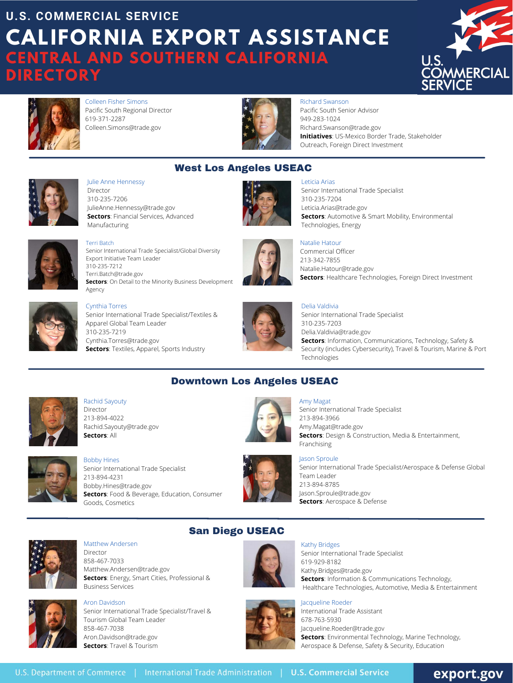# **CALIFORNIA EXPORT ASSISTANCE CENTRAL AND SOUTHERN CALIFORNIA DIRECTORY U.S. COMMERCIAL SERVICE**





Colleen Fisher Simons Pacific South Regional Director 619-371-2287 Colleen.Simons@trade.gov

#### Matthew Andersen Director 858-467-7033 [Matthew.Andersen@trade.gov](mailto:Matthew.Andersen@trade.gov) **Sectors**: [Energy](https://www.trade.gov/energy-industry), Smart Cities, [Professional &](https://www.trade.gov/professional-and-business-services) [Business Services](https://www.trade.gov/professional-and-business-services)



#### Kathy Bridges Senior International Trade Specialist 619-929-8182 [Kathy.Bridges@trade.gov](mailto:Kathy.Bridges@trade.gov) **Sectors**: [Information & Communications Technology,](https://www.trade.gov/information-and-communications-technology) [Healthcare Technologies](https://www.trade.gov/healthcare-technologies-industry), [Automotive,](https://www.trade.gov/automotive-smart-mobility-industry) [Media & Entertainment](https://www.trade.gov/media-entertainment)



Aron Davidson Senior International Trade Specialist/Travel & Tourism Global Team Leader 858-467-7038 [Aron.Davidson@trade.gov](mailto:Aron.Davidson@trade.gov) **Sectors**: [Travel & Tourism](https://www.trade.gov/travel-tourism-industry)



Jacqueline Roeder International Trade Assistant 678-763-5930 [Jacqueline.Roeder@trade.gov](mailto:Julie.Osman@trade.gov) **Sectors**: Environmental Technology, Marine Technology, [Aerospace & Defense](https://www.trade.gov/aerospace-defense-industry), Safety & Security, Education

# export.gov

San Diego USEAC



## West Los Angeles USEAC



Julie Anne Hennessy Director 310-235-7206 JulieAnne.Hennessy@trade.gov **Sectors**: Financial Services, Advanced Manufacturing





Leticia Arias Senior International Trade Specialist 310-235-7204 [Leticia.Arias@trade.gov](mailto:Leticia.Arias@trade.gov) **Sectors**: [Automotive & Smart Mobility](https://www.trade.gov/automotive-smart-mobility-industry), [Environmental](https://www.trade.gov/environmental-technologies-industry) [Technologies](https://www.trade.gov/environmental-technologies-industry), Energy



Terri Batch Senior International Trade Specialist/Global Diversity Export Initiative Team Leader 310-235-7212 [Terri.Batch@trade.gov](mailto:Terri.Batch@trade.gov) **Sectors**: On Detail to the Minority Business Development Agency



#### Natalie Hatour

Commercial Officer 213-342-7855 Natalie.Hatour@trade.gov **Sectors**: Healthcare Technologies, Foreign Direct Investment



#### Delia Valdivia

Senior International Trade Specialist 310-235-7203 [Delia.Valdivia@trade.gov](mailto:Delia.Valdivia@trade.gov) **Sectors**: Information, Communications, Technology, [Safety &](https://www.trade.gov/safety-security-industry) [Security \(includes Cybersecurity\)](https://www.trade.gov/safety-security-industry), [Travel & Tourism,](https://www.trade.gov/travel-tourism-industry) [Marine & Port](https://www.trade.gov/marine-technology-industry)

[Technologies](https://www.trade.gov/marine-technology-industry)

#### Cynthia Torres Senior International Trade Specialist/Textiles & Apparel Global Team Leader 310-235-7219 Cynthia.Torres@trade.gov **Sectors**: Textiles, Apparel, Sports Industry

#### Downtown Los Angeles USEAC





Richard Swanson Pacific South Senior Advisor 949-283-1024 [Richard](mailto:richard.swanson@trade.gov)[.Swanson@trade.gov](mailto:Jasmine.Braswell@trade.gov) **Initiatives**: US-Mexico Border Trade, Stakeholder Outreach, Foreign Direct Investment

Rachid Sayouty Director 213-894-4022 Rachid.Sayouty@trade.gov **Sectors**: All



Bobby Hines Senior International Trade Specialist 213-894-4231 [Bobby.Hines@trade.gov](mailto:Bobby.Hines@trade.gov) **Sectors**: [Food & Beverage](https://www.trade.gov/food-and-agriculture-value-chain), [Education,](https://www.trade.gov/education-industry) Consumer Goods, Cosmetics



#### Amy Magat

Senior International Trade Specialist 213-894-3966 [Amy.Magat@trade.gov](mailto:Amy.Magat@trade.gov%C2%A0) **Sectors**: [Design & Construction,](https://www.trade.gov/design-and-construction-industry) [Media & Entertainment,](https://www.trade.gov/media-entertainment) [Franchising](https://www.trade.gov/franchising-industry)



#### Jason Sproule

Senior International Trade Specialist/Aerospace & Defense Global Team Leader 213-894-8785 [Jason.Sproule@trade.gov](mailto:Jason.Sproule@trade.gov) **Sectors**: [Aerospace & Defense](https://www.trade.gov/aerospace-defense-industry)